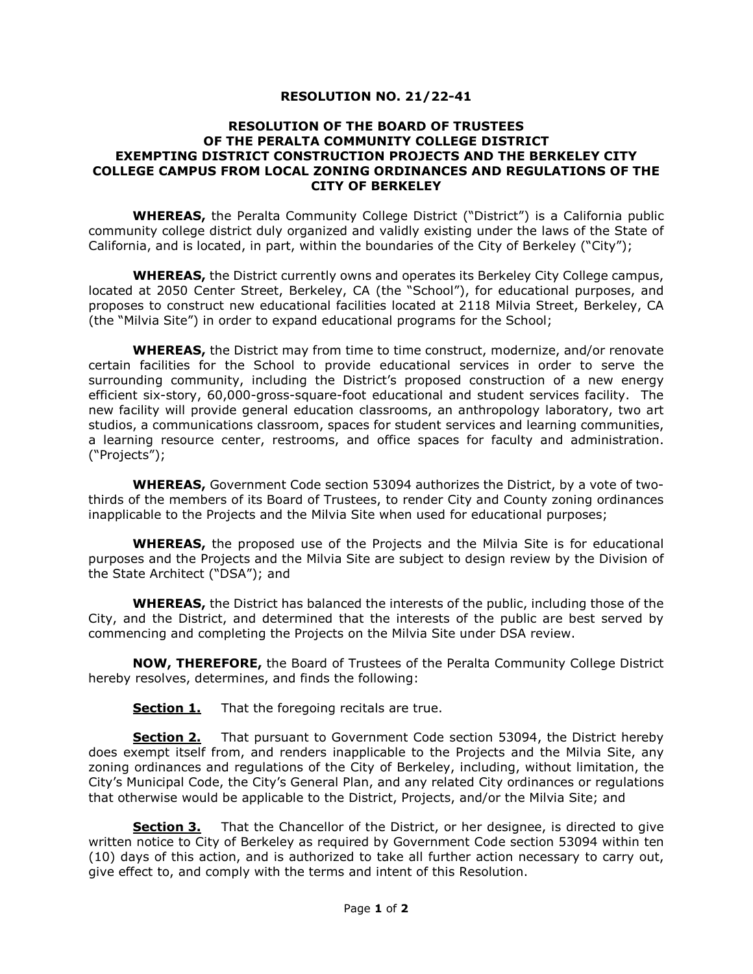## **RESOLUTION NO. 21/22-41**

## **RESOLUTION OF THE BOARD OF TRUSTEES OF THE PERALTA COMMUNITY COLLEGE DISTRICT EXEMPTING DISTRICT CONSTRUCTION PROJECTS AND THE BERKELEY CITY COLLEGE CAMPUS FROM LOCAL ZONING ORDINANCES AND REGULATIONS OF THE CITY OF BERKELEY**

**WHEREAS,** the Peralta Community College District ("District") is a California public community college district duly organized and validly existing under the laws of the State of California, and is located, in part, within the boundaries of the City of Berkeley ("City");

**WHEREAS,** the District currently owns and operates its Berkeley City College campus, located at 2050 Center Street, Berkeley, CA (the "School"), for educational purposes, and proposes to construct new educational facilities located at 2118 Milvia Street, Berkeley, CA (the "Milvia Site") in order to expand educational programs for the School;

**WHEREAS,** the District may from time to time construct, modernize, and/or renovate certain facilities for the School to provide educational services in order to serve the surrounding community, including the District's proposed construction of a new energy efficient six-story, 60,000-gross-square-foot educational and student services facility. The new facility will provide general education classrooms, an anthropology laboratory, two art studios, a communications classroom, spaces for student services and learning communities, a learning resource center, restrooms, and office spaces for faculty and administration. ("Projects");

**WHEREAS,** Government Code section 53094 authorizes the District, by a vote of twothirds of the members of its Board of Trustees, to render City and County zoning ordinances inapplicable to the Projects and the Milvia Site when used for educational purposes;

**WHEREAS,** the proposed use of the Projects and the Milvia Site is for educational purposes and the Projects and the Milvia Site are subject to design review by the Division of the State Architect ("DSA"); and

**WHEREAS,** the District has balanced the interests of the public, including those of the City, and the District, and determined that the interests of the public are best served by commencing and completing the Projects on the Milvia Site under DSA review.

**NOW, THEREFORE,** the Board of Trustees of the Peralta Community College District hereby resolves, determines, and finds the following:

**Section 1.** That the foregoing recitals are true.

**Section 2.** That pursuant to Government Code section 53094, the District hereby does exempt itself from, and renders inapplicable to the Projects and the Milvia Site, any zoning ordinances and regulations of the City of Berkeley, including, without limitation, the City's Municipal Code, the City's General Plan, and any related City ordinances or regulations that otherwise would be applicable to the District, Projects, and/or the Milvia Site; and

**Section 3.** That the Chancellor of the District, or her designee, is directed to give written notice to City of Berkeley as required by Government Code section 53094 within ten (10) days of this action, and is authorized to take all further action necessary to carry out, give effect to, and comply with the terms and intent of this Resolution.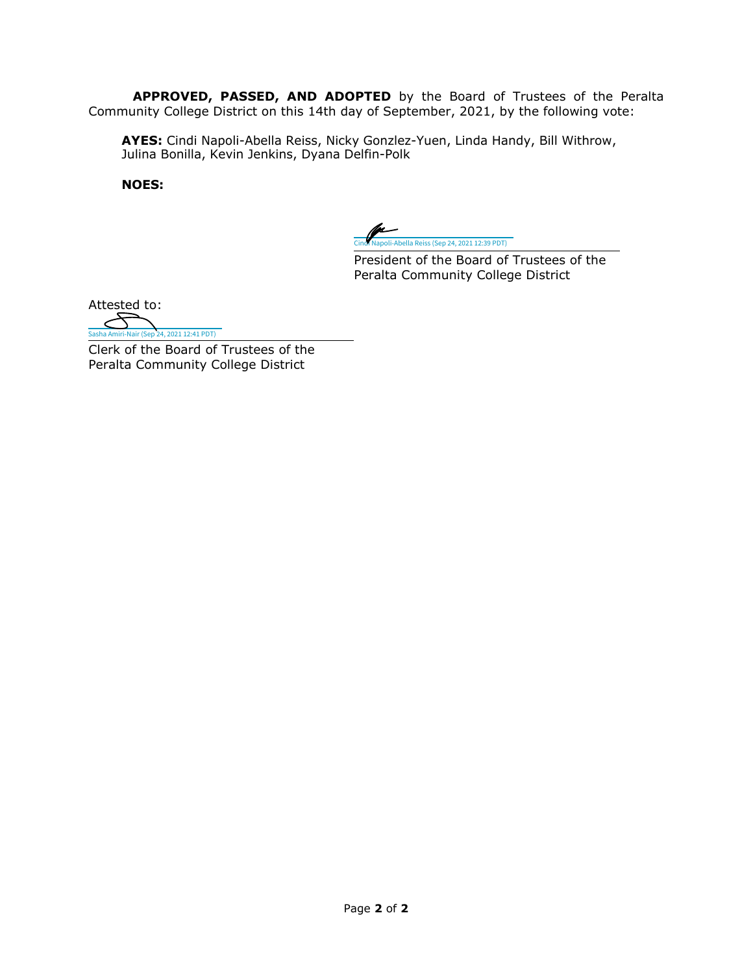**APPROVED, PASSED, AND ADOPTED** by the Board of Trustees of the Peralta Community College District on this 14th day of September, 2021, by the following vote:

**AYES:** Cindi Napoli-Abella Reiss, Nicky Gonzlez-Yuen, Linda Handy, Bill Withrow, Julina Bonilla, Kevin Jenkins, Dyana Delfin-Polk

**NOES:**

-<br>Abella Reiss (Sep 24, 2021 12:39 PDT)

President of the Board of Trustees of the Peralta Community College District

Attested to:

 $\epsilon$ [Sasha Amiri-Nair \(Sep 24, 2021 12:41 PDT\)](https://peralta.na2.echosign.com/verifier?tx=CBJCHBCAABAA_oyB0E7JMWlb8z3f0DBej9Z2uoObIBbt)

Clerk of the Board of Trustees of the Peralta Community College District